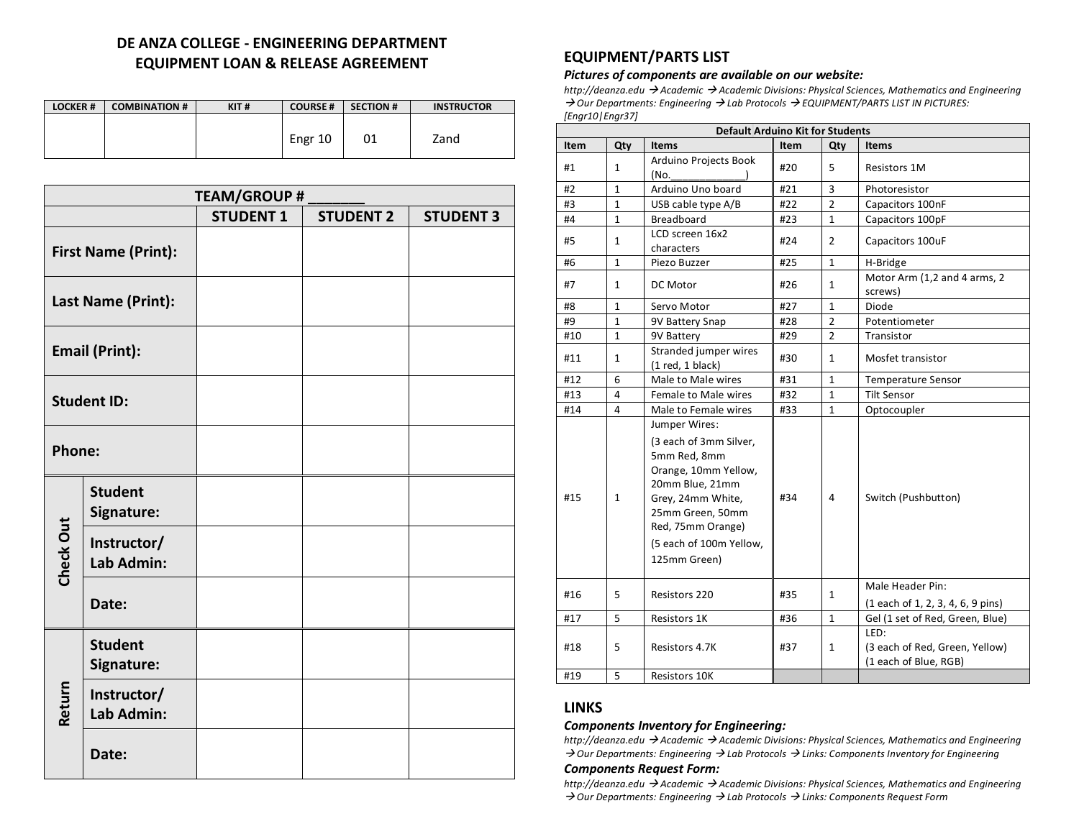# **DE ANZA COLLEGE - ENGINEERING DEPARTMENT EQUIPMENT LOAN & RELEASE AGREEMENT**

| <b>LOCKER#</b> | <b>COMBINATION #</b> | KIT# | <b>COURSE#</b> | <b>SECTION #</b> | <b>INSTRUCTOR</b> |
|----------------|----------------------|------|----------------|------------------|-------------------|
|                |                      |      |                |                  |                   |
|                |                      |      | Engr 10        | 01               | Zand              |
|                |                      |      |                |                  |                   |

|                            | <b>TEAM/GROUP #</b>          |                  |                  |                  |  |
|----------------------------|------------------------------|------------------|------------------|------------------|--|
|                            |                              | <b>STUDENT 1</b> | <b>STUDENT 2</b> | <b>STUDENT 3</b> |  |
| <b>First Name (Print):</b> |                              |                  |                  |                  |  |
| Last Name (Print):         |                              |                  |                  |                  |  |
| <b>Email (Print):</b>      |                              |                  |                  |                  |  |
| <b>Student ID:</b>         |                              |                  |                  |                  |  |
| <b>Phone:</b>              |                              |                  |                  |                  |  |
|                            | <b>Student</b><br>Signature: |                  |                  |                  |  |
| Check Out                  | Instructor/<br>Lab Admin:    |                  |                  |                  |  |
|                            | Date:                        |                  |                  |                  |  |
|                            | <b>Student</b><br>Signature: |                  |                  |                  |  |
| Return                     | Instructor/<br>Lab Admin:    |                  |                  |                  |  |
|                            | Date:                        |                  |                  |                  |  |

# **EQUIPMENT/PARTS LIST**

#### *Pictures of components are available on our website:*

*http://deanza.edu* à *Academic* à *Academic Divisions: Physical Sciences, Mathematics and Engineering*  à *Our Departments: Engineering* à *Lab Protocols* à *EQUIPMENT/PARTS LIST IN PICTURES: [Engr10|Engr37]*

| <b>Default Arduino Kit for Students</b> |              |                                                                                                                                                                                                             |             |                |                                                                 |
|-----------------------------------------|--------------|-------------------------------------------------------------------------------------------------------------------------------------------------------------------------------------------------------------|-------------|----------------|-----------------------------------------------------------------|
| <b>Item</b>                             | Qty          | <b>Items</b>                                                                                                                                                                                                | <b>Item</b> | Qty            | <b>Items</b>                                                    |
| #1                                      | $\mathbf{1}$ | Arduino Projects Book<br>(No.                                                                                                                                                                               | #20         | 5              | <b>Resistors 1M</b>                                             |
| #2                                      | 1            | Arduino Uno board                                                                                                                                                                                           | #21         | 3              | Photoresistor                                                   |
| #3                                      | $\mathbf{1}$ | USB cable type A/B                                                                                                                                                                                          | #22         | $\overline{2}$ | Capacitors 100nF                                                |
| #4                                      | $\mathbf{1}$ | <b>Breadboard</b>                                                                                                                                                                                           | #23         | $\mathbf{1}$   | Capacitors 100pF                                                |
| #5                                      | $\mathbf{1}$ | LCD screen 16x2<br>characters                                                                                                                                                                               | #24         | $\overline{2}$ | Capacitors 100uF                                                |
| #6                                      | $\mathbf{1}$ | Piezo Buzzer                                                                                                                                                                                                | #25         | $\mathbf{1}$   | H-Bridge                                                        |
| #7                                      | $\mathbf{1}$ | DC Motor                                                                                                                                                                                                    | #26         | $\mathbf{1}$   | Motor Arm (1,2 and 4 arms, 2<br>screws)                         |
| #8                                      | $\mathbf{1}$ | Servo Motor                                                                                                                                                                                                 | #27         | $\mathbf{1}$   | Diode                                                           |
| #9                                      | $\mathbf{1}$ | 9V Battery Snap                                                                                                                                                                                             | #28         | $\overline{2}$ | Potentiometer                                                   |
| #10                                     | 1            | 9V Battery                                                                                                                                                                                                  | #29         | $\overline{2}$ | Transistor                                                      |
| #11                                     | 1            | Stranded jumper wires<br>$(1$ red, $1$ black)                                                                                                                                                               | #30         | 1              | Mosfet transistor                                               |
| #12                                     | 6            | Male to Male wires                                                                                                                                                                                          | #31         | $\mathbf{1}$   | <b>Temperature Sensor</b>                                       |
| #13                                     | 4            | Female to Male wires                                                                                                                                                                                        | #32         | $\mathbf{1}$   | Tilt Sensor                                                     |
| #14                                     | 4            | Male to Female wires                                                                                                                                                                                        | #33         | $\mathbf{1}$   | Optocoupler                                                     |
| #15                                     | $\mathbf{1}$ | Jumper Wires:<br>(3 each of 3mm Silver,<br>5mm Red, 8mm<br>Orange, 10mm Yellow,<br>20mm Blue, 21mm<br>Grey, 24mm White,<br>25mm Green, 50mm<br>Red, 75mm Orange)<br>(5 each of 100m Yellow,<br>125mm Green) | #34         | 4              | Switch (Pushbutton)                                             |
| #16                                     | 5.           | Resistors 220                                                                                                                                                                                               | #35         | $\mathbf{1}$   | Male Header Pin:<br>(1 each of 1, 2, 3, 4, 6, 9 pins)           |
| #17                                     | 5            | Resistors 1K                                                                                                                                                                                                | #36         | $\mathbf{1}$   | Gel (1 set of Red, Green, Blue)                                 |
| #18                                     | 5.           | Resistors 4.7K                                                                                                                                                                                              | #37         | $\mathbf{1}$   | LED:<br>(3 each of Red, Green, Yellow)<br>(1 each of Blue, RGB) |
| #19                                     | 5            | Resistors 10K                                                                                                                                                                                               |             |                |                                                                 |

### **LINKS**

#### *Components Inventory for Engineering:*

*http://deanza.edu* à *Academic* à *Academic Divisions: Physical Sciences, Mathematics and Engineering*  à *Our Departments: Engineering* à *Lab Protocols* à *Links: Components Inventory for Engineering*

#### *Components Request Form:*

*http://deanza.edu* à *Academic* à *Academic Divisions: Physical Sciences, Mathematics and Engineering*  à *Our Departments: Engineering* à *Lab Protocols* à *Links: Components Request Form*